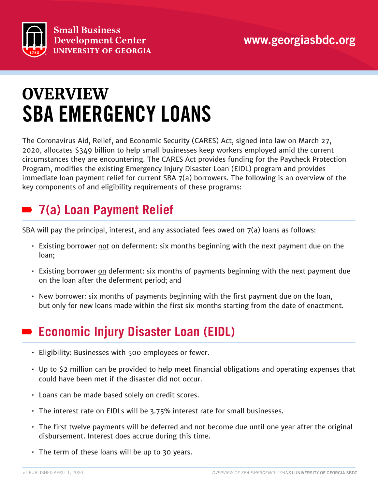



# SBA EMERGENCY LOANS **OVERVIEW**

The Coronavirus Aid, Relief, and Economic Security (CARES) Act, signed into law on March 27, 2020, allocates \$349 billion to help small businesses keep workers employed amid the current circumstances they are encountering. The CARES Act provides funding for the Paycheck Protection Program, modifies the existing Emergency Injury Disaster Loan (EIDL) program and provides immediate loan payment relief for current SBA 7(a) borrowers. The following is an overview of the key components of and eligibility requirements of these programs:

# **7(a) Loan Payment Relief**

SBA will pay the principal, interest, and any associated fees owed on 7(a) loans as follows:

- Existing borrower not on deferment: six months beginning with the next payment due on the loan;
- Existing borrower on deferment: six months of payments beginning with the next payment due on the loan after the deferment period; and
- New borrower: six months of payments beginning with the first payment due on the loan, but only for new loans made within the first six months starting from the date of enactment.

# **Economic Injury Disaster Loan (EIDL)**

- Eligibility: Businesses with 500 employees or fewer.
- Up to \$2 million can be provided to help meet financial obligations and operating expenses that could have been met if the disaster did not occur.
- Loans can be made based solely on credit scores.
- The interest rate on EIDLs will be 3.75% interest rate for small businesses.
- The first twelve payments will be deferred and not become due until one year after the original disbursement. Interest does accrue during this time.
- The term of these loans will be up to 30 years.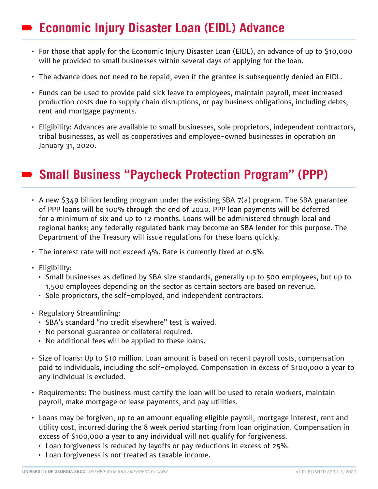# **Economic Injury Disaster Loan (EIDL) Advance**

- For those that apply for the Economic Injury Disaster Loan (EIDL), an advance of up to \$10,000 will be provided to small businesses within several days of applying for the loan.
- The advance does not need to be repaid, even if the grantee is subsequently denied an EIDL.
- Funds can be used to provide paid sick leave to employees, maintain payroll, meet increased production costs due to supply chain disruptions, or pay business obligations, including debts, rent and mortgage payments.
- Eligibility: Advances are available to small businesses, sole proprietors, independent contractors, tribal businesses, as well as cooperatives and employee-owned businesses in operation on January 31, 2020.

### **Small Business "Paycheck Protection Program" (PPP)**

- A new \$349 billion lending program under the existing SBA 7(a) program. The SBA guarantee of PPP loans will be 100% through the end of 2020. PPP loan payments will be deferred for a minimum of six and up to 12 months. Loans will be administered through local and regional banks; any federally regulated bank may become an SBA lender for this purpose. The Department of the Treasury will issue regulations for these loans quickly.
- $\cdot$  The interest rate will not exceed 4%. Rate is currently fixed at 0.5%.
- Eligibility:
	- Small businesses as defined by SBA size standards, generally up to 500 employees, but up to 1,500 employees depending on the sector as certain sectors are based on revenue.
	- Sole proprietors, the self-employed, and independent contractors.
- Regulatory Streamlining:
	- SBA's standard "no credit elsewhere" test is waived.
	- No personal guarantee or collateral required.
	- No additional fees will be applied to these loans.
- Size of loans: Up to \$10 million. Loan amount is based on recent payroll costs, compensation paid to individuals, including the self-employed. Compensation in excess of \$100,000 a year to any individual is excluded.
- Requirements: The business must certify the loan will be used to retain workers, maintain payroll, make mortgage or lease payments, and pay utilities.
- Loans may be forgiven, up to an amount equaling eligible payroll, mortgage interest, rent and utility cost, incurred during the 8 week period starting from loan origination. Compensation in excess of \$100,000 a year to any individual will not qualify for forgiveness.
	- Loan forgiveness is reduced by layoffs or pay reductions in excess of 25%.
	- Loan forgiveness is not treated as taxable income.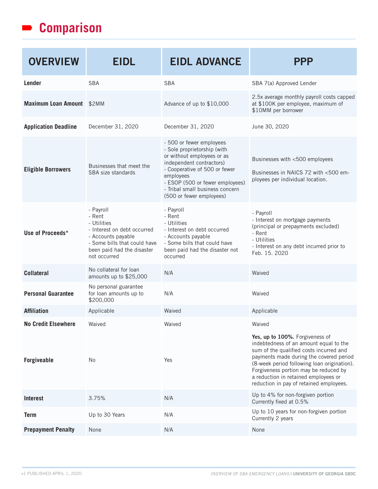#### **Comparison**

| <b>OVERVIEW</b>             | <b>EIDL</b>                                                                                                                                                           | <b>EIDL ADVANCE</b>                                                                                                                                                                                                                                               | <b>PPP</b>                                                                                                                                                                                                                                                                                                                                 |
|-----------------------------|-----------------------------------------------------------------------------------------------------------------------------------------------------------------------|-------------------------------------------------------------------------------------------------------------------------------------------------------------------------------------------------------------------------------------------------------------------|--------------------------------------------------------------------------------------------------------------------------------------------------------------------------------------------------------------------------------------------------------------------------------------------------------------------------------------------|
| Lender                      | <b>SBA</b>                                                                                                                                                            | <b>SBA</b>                                                                                                                                                                                                                                                        | SBA 7(a) Approved Lender                                                                                                                                                                                                                                                                                                                   |
| Maximum Loan Amount \$2MM   |                                                                                                                                                                       | Advance of up to \$10,000                                                                                                                                                                                                                                         | 2.5x average monthly payroll costs capped<br>at \$100K per employee, maximum of<br>\$10MM per borrower                                                                                                                                                                                                                                     |
| <b>Application Deadline</b> | December 31, 2020                                                                                                                                                     | December 31, 2020                                                                                                                                                                                                                                                 | June 30, 2020                                                                                                                                                                                                                                                                                                                              |
| <b>Eligible Borrowers</b>   | Businesses that meet the<br>SBA size standards                                                                                                                        | - 500 or fewer employees<br>- Sole proprietorship (with<br>or without employees or as<br>independent contractors)<br>- Cooperative of 500 or fewer<br>employees<br>- ESOP (500 or fewer employees)<br>- Tribal small business concern<br>(500 or fewer employees) | Businesses with <500 employees<br>Businesses in NAICS 72 with <500 em-<br>ployees per individual location.                                                                                                                                                                                                                                 |
| Use of Proceeds*            | - Payroll<br>- Rent<br>- Utilities<br>- Interest on debt occurred<br>- Accounts payable<br>- Some bills that could have<br>been paid had the disaster<br>not occurred | - Payroll<br>- Rent<br>- Utilities<br>- Interest on debt occurred<br>- Accounts payable<br>- Some bills that could have<br>been paid had the disaster not<br>occurred                                                                                             | - Payroll<br>- Interest on mortgage payments<br>(principal or prepayments excluded)<br>- Rent<br>- Utilities<br>- Interest on any debt incurred prior to<br>Feb. 15, 2020                                                                                                                                                                  |
| <b>Collateral</b>           | No collateral for loan<br>amounts up to \$25,000                                                                                                                      | N/A                                                                                                                                                                                                                                                               | Waived                                                                                                                                                                                                                                                                                                                                     |
| <b>Personal Guarantee</b>   | No personal guarantee<br>for loan amounts up to<br>\$200,000                                                                                                          | N/A                                                                                                                                                                                                                                                               | Waived                                                                                                                                                                                                                                                                                                                                     |
| <b>Affiliation</b>          | Applicable                                                                                                                                                            | Waived                                                                                                                                                                                                                                                            | Applicable                                                                                                                                                                                                                                                                                                                                 |
| <b>No Credit Elsewhere</b>  | Waived                                                                                                                                                                | Waived                                                                                                                                                                                                                                                            | Waived                                                                                                                                                                                                                                                                                                                                     |
| <b>Forgiveable</b>          | No                                                                                                                                                                    | Yes                                                                                                                                                                                                                                                               | Yes, up to 100%. Forgiveness of<br>indebtedness of an amount equal to the<br>sum of the qualified costs incurred and<br>payments made during the covered period<br>(8-week period following loan origination).<br>Forgiveness portion may be reduced by<br>a reduction in retained employees or<br>reduction in pay of retained employees. |
| Interest                    | 3.75%                                                                                                                                                                 | N/A                                                                                                                                                                                                                                                               | Up to 4% for non-forgiven portion<br>Currently fixed at 0.5%                                                                                                                                                                                                                                                                               |
| <b>Term</b>                 | Up to 30 Years                                                                                                                                                        | N/A                                                                                                                                                                                                                                                               | Up to 10 years for non-forgiven portion<br>Currently 2 years                                                                                                                                                                                                                                                                               |
| <b>Prepayment Penalty</b>   | None                                                                                                                                                                  | N/A                                                                                                                                                                                                                                                               | None                                                                                                                                                                                                                                                                                                                                       |